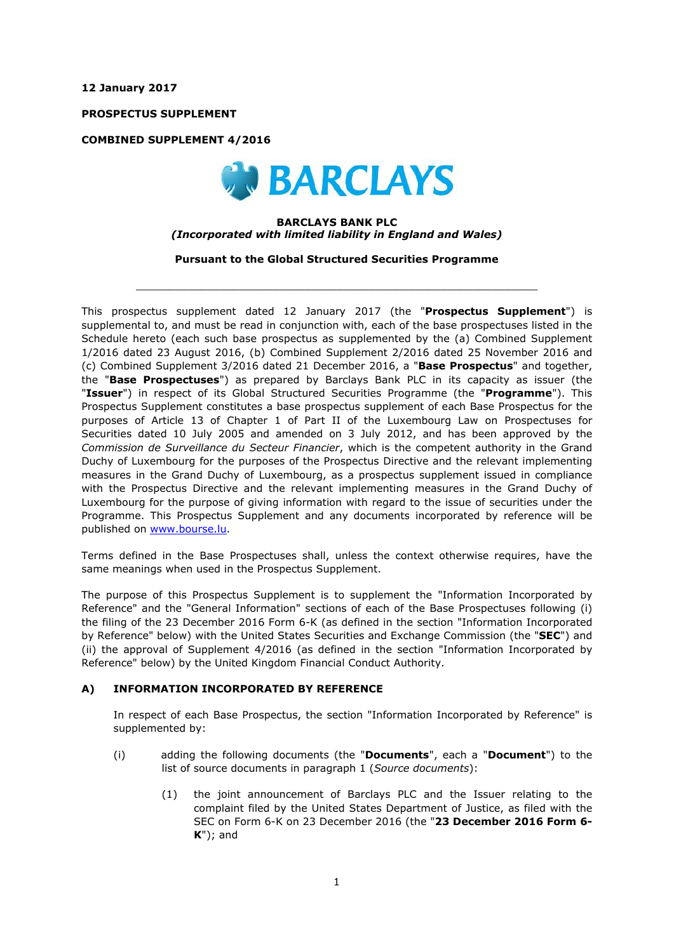**12 January 2017**

**PROSPECTUS SUPPLEMENT**

**COMBINED SUPPLEMENT 4/2016**



### **BARCLAYS BANK PLC** *(Incorporated with limited liability in England and Wales)*

**Pursuant to the Global Structured Securities Programme**

 $\_$  ,  $\_$  ,  $\_$  ,  $\_$  ,  $\_$  ,  $\_$  ,  $\_$  ,  $\_$  ,  $\_$  ,  $\_$  ,  $\_$  ,  $\_$  ,  $\_$  ,  $\_$  ,  $\_$  ,  $\_$  ,  $\_$  ,  $\_$  ,  $\_$  ,  $\_$  ,  $\_$  ,  $\_$  ,  $\_$  ,  $\_$  ,  $\_$  ,  $\_$  ,  $\_$  ,  $\_$  ,  $\_$  ,  $\_$  ,  $\_$  ,  $\_$  ,  $\_$  ,  $\_$  ,  $\_$  ,  $\_$  ,  $\_$  ,

This prospectus supplement dated 12 January 2017 (the "**Prospectus Supplement**") is supplemental to, and must be read in conjunction with, each of the base prospectuses listed in the Schedule hereto (each such base prospectus as supplemented by the (a) Combined Supplement 1/2016 dated 23 August 2016, (b) Combined Supplement 2/2016 dated 25 November 2016 and (c) Combined Supplement 3/2016 dated 21 December 2016, a "**Base Prospectus**" and together, the "**Base Prospectuses**") as prepared by Barclays Bank PLC in its capacity as issuer (the "**Issuer**") in respect of its Global Structured Securities Programme (the "**Programme**"). This Prospectus Supplement constitutes a base prospectus supplement of each Base Prospectus for the purposes of Article 13 of Chapter 1 of Part II of the Luxembourg Law on Prospectuses for Securities dated 10 July 2005 and amended on 3 July 2012, and has been approved by the *Commission de Surveillance du Secteur Financier*, which is the competent authority in the Grand Duchy of Luxembourg for the purposes of the Prospectus Directive and the relevant implementing measures in the Grand Duchy of Luxembourg, as a prospectus supplement issued in compliance with the Prospectus Directive and the relevant implementing measures in the Grand Duchy of Luxembourg for the purpose of giving information with regard to the issue of securities under the Programme. This Prospectus Supplement and any documents incorporated by reference will be published on www.bourse.lu.

Terms defined in the Base Prospectuses shall, unless the context otherwise requires, have the same meanings when used in the Prospectus Supplement.

The purpose of this Prospectus Supplement is to supplement the "Information Incorporated by Reference" and the "General Information" sections of each of the Base Prospectuses following (i) the filing of the 23 December 2016 Form 6-K (as defined in the section "Information Incorporated by Reference" below) with the United States Securities and Exchange Commission (the "**SEC**") and (ii) the approval of Supplement 4/2016 (as defined in the section "Information Incorporated by Reference" below) by the United Kingdom Financial Conduct Authority.

## **A) INFORMATION INCORPORATED BY REFERENCE**

In respect of each Base Prospectus, the section "Information Incorporated by Reference" is supplemented by:

- (i) adding the following documents (the "**Documents**", each a "**Document**") to the list of source documents in paragraph 1 (*Source documents*):
	- (1) the joint announcement of Barclays PLC and the Issuer relating to the complaint filed by the United States Department of Justice, as filed with the SEC on Form 6-K on 23 December 2016 (the "**23 December 2016 Form 6- K**"); and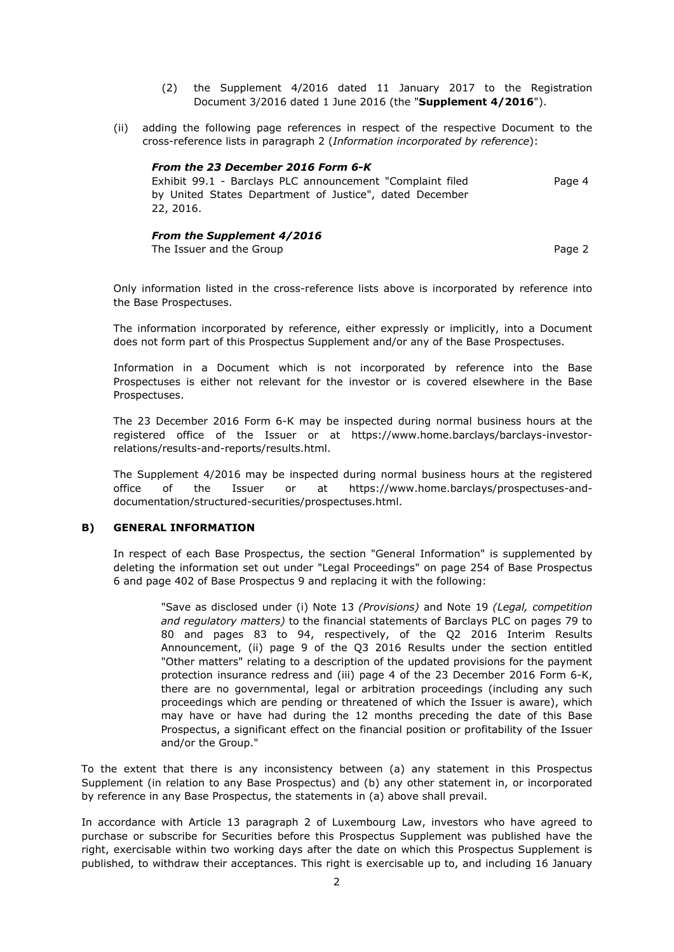- (2) the Supplement 4/2016 dated 11 January 2017 to the Registration Document 3/2016 dated 1 June 2016 (the "**Supplement 4/2016**").
- (ii) adding the following page references in respect of the respective Document to the cross-reference lists in paragraph 2 (*Information incorporated by reference*):

#### *From the 23 December 2016 Form 6-K* Exhibit 99.1 - Barclays PLC announcement "Complaint filed by United States Department of Justice", dated December 22, 2016. Page 4

# *From the Supplement 4/2016*

The Issuer and the Group **Page 2** and the Group **Page 2** and the Group **Page 2** and the Page 2

Only information listed in the cross-reference lists above is incorporated by reference into the Base Prospectuses.

The information incorporated by reference, either expressly or implicitly, into a Document does not form part of this Prospectus Supplement and/or any of the Base Prospectuses.

Information in a Document which is not incorporated by reference into the Base Prospectuses is either not relevant for the investor or is covered elsewhere in the Base Prospectuses.

The 23 December 2016 Form 6-K may be inspected during normal business hours at the registered office of the Issuer or at https://www.home.barclays/barclays-investorrelations/results-and-reports/results.html.

The Supplement 4/2016 may be inspected during normal business hours at the registered office of the Issuer or at https://www.home.barclays/prospectuses-anddocumentation/structured-securities/prospectuses.html.

## **B) GENERAL INFORMATION**

In respect of each Base Prospectus, the section "General Information" is supplemented by deleting the information set out under "Legal Proceedings" on page 254 of Base Prospectus 6 and page 402 of Base Prospectus 9 and replacing it with the following:

"Save as disclosed under (i) Note 13 *(Provisions)* and Note 19 *(Legal, competition and regulatory matters)* to the financial statements of Barclays PLC on pages 79 to 80 and pages 83 to 94, respectively, of the Q2 2016 Interim Results Announcement, (ii) page 9 of the Q3 2016 Results under the section entitled "Other matters" relating to a description of the updated provisions for the payment protection insurance redress and (iii) page 4 of the 23 December 2016 Form 6-K, there are no governmental, legal or arbitration proceedings (including any such proceedings which are pending or threatened of which the Issuer is aware), which may have or have had during the 12 months preceding the date of this Base Prospectus, a significant effect on the financial position or profitability of the Issuer and/or the Group."

To the extent that there is any inconsistency between (a) any statement in this Prospectus Supplement (in relation to any Base Prospectus) and (b) any other statement in, or incorporated by reference in any Base Prospectus, the statements in (a) above shall prevail.

In accordance with Article 13 paragraph 2 of Luxembourg Law, investors who have agreed to purchase or subscribe for Securities before this Prospectus Supplement was published have the right, exercisable within two working days after the date on which this Prospectus Supplement is published, to withdraw their acceptances. This right is exercisable up to, and including 16 January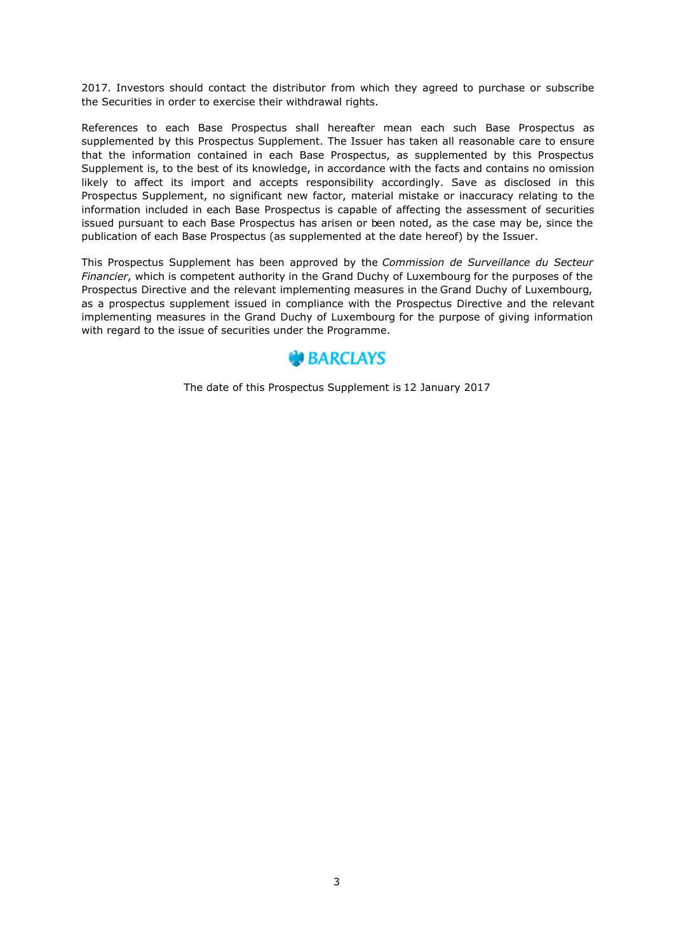2017. Investors should contact the distributor from which they agreed to purchase or subscribe the Securities in order to exercise their withdrawal rights.

References to each Base Prospectus shall hereafter mean each such Base Prospectus as supplemented by this Prospectus Supplement. The Issuer has taken all reasonable care to ensure that the information contained in each Base Prospectus, as supplemented by this Prospectus Supplement is, to the best of its knowledge, in accordance with the facts and contains no omission likely to affect its import and accepts responsibility accordingly. Save as disclosed in this Prospectus Supplement, no significant new factor, material mistake or inaccuracy relating to the information included in each Base Prospectus is capable of affecting the assessment of securities issued pursuant to each Base Prospectus has arisen or been noted, as the case may be, since the publication of each Base Prospectus (as supplemented at the date hereof) by the Issuer.

This Prospectus Supplement has been approved by the *Commission de Surveillance du Secteur Financier*, which is competent authority in the Grand Duchy of Luxembourg for the purposes of the Prospectus Directive and the relevant implementing measures in the Grand Duchy of Luxembourg, as a prospectus supplement issued in compliance with the Prospectus Directive and the relevant implementing measures in the Grand Duchy of Luxembourg for the purpose of giving information with regard to the issue of securities under the Programme.



The date of this Prospectus Supplement is 12 January 2017